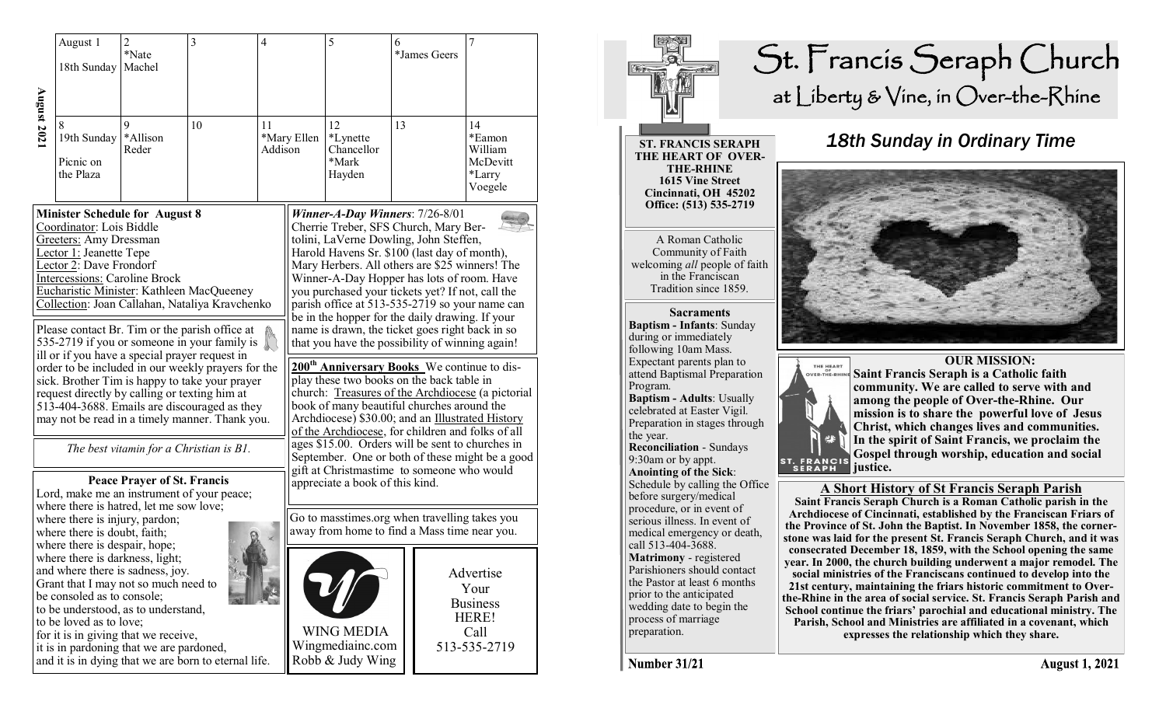|                                                                                                                                                                                                            | August 1                                           | $\overline{c}$<br>*Nate | 3                                                    | 4       |                                                                                                       | 5                                                                                             | 6            |  | $\overline{7}$  |  |  |
|------------------------------------------------------------------------------------------------------------------------------------------------------------------------------------------------------------|----------------------------------------------------|-------------------------|------------------------------------------------------|---------|-------------------------------------------------------------------------------------------------------|-----------------------------------------------------------------------------------------------|--------------|--|-----------------|--|--|
|                                                                                                                                                                                                            | 18th Sunday                                        | Machel                  |                                                      |         |                                                                                                       |                                                                                               | *James Geers |  |                 |  |  |
|                                                                                                                                                                                                            |                                                    |                         |                                                      |         |                                                                                                       |                                                                                               |              |  |                 |  |  |
|                                                                                                                                                                                                            |                                                    |                         |                                                      |         |                                                                                                       |                                                                                               |              |  |                 |  |  |
|                                                                                                                                                                                                            |                                                    |                         |                                                      |         |                                                                                                       |                                                                                               |              |  |                 |  |  |
| <b>August 202</b>                                                                                                                                                                                          |                                                    | 9                       |                                                      |         |                                                                                                       |                                                                                               |              |  | 14              |  |  |
|                                                                                                                                                                                                            | 19th Sunday                                        | *Allison                | 10                                                   | 11      | *Mary Ellen                                                                                           | 12<br>*Lynette                                                                                | 13           |  | *Eamon          |  |  |
|                                                                                                                                                                                                            |                                                    | Reder                   |                                                      | Addison |                                                                                                       | Chancellor                                                                                    |              |  | William         |  |  |
|                                                                                                                                                                                                            | Picnic on                                          |                         |                                                      |         |                                                                                                       | *Mark                                                                                         |              |  | McDevitt        |  |  |
|                                                                                                                                                                                                            | the Plaza                                          |                         |                                                      |         |                                                                                                       | Hayden                                                                                        |              |  | *Larry          |  |  |
|                                                                                                                                                                                                            |                                                    |                         |                                                      |         |                                                                                                       |                                                                                               |              |  | Voegele         |  |  |
|                                                                                                                                                                                                            |                                                    |                         |                                                      |         |                                                                                                       |                                                                                               |              |  |                 |  |  |
| <b>Minister Schedule for August 8</b>                                                                                                                                                                      |                                                    |                         |                                                      |         |                                                                                                       | Winner-A-Day Winners: $7/26 - 8/01$                                                           |              |  |                 |  |  |
| Coordinator: Lois Biddle                                                                                                                                                                                   |                                                    |                         |                                                      |         |                                                                                                       | Cherrie Treber, SFS Church, Mary Ber-                                                         |              |  |                 |  |  |
| <b>Greeters:</b> Amy Dressman                                                                                                                                                                              |                                                    |                         |                                                      |         |                                                                                                       | tolini, LaVerne Dowling, John Steffen,                                                        |              |  |                 |  |  |
| Lector 1: Jeanette Tepe                                                                                                                                                                                    |                                                    |                         |                                                      |         | Harold Havens Sr. \$100 (last day of month),                                                          |                                                                                               |              |  |                 |  |  |
|                                                                                                                                                                                                            | Lector 2: Dave Frondorf                            |                         |                                                      |         |                                                                                                       | Mary Herbers. All others are \$25 winners! The                                                |              |  |                 |  |  |
| <b>Intercessions: Caroline Brock</b>                                                                                                                                                                       |                                                    |                         |                                                      |         | Winner-A-Day Hopper has lots of room. Have                                                            |                                                                                               |              |  |                 |  |  |
| Eucharistic Minister: Kathleen MacQueeney                                                                                                                                                                  |                                                    |                         |                                                      |         | you purchased your tickets yet? If not, call the<br>parish office at 513-535-2719 so your name can    |                                                                                               |              |  |                 |  |  |
| Collection: Joan Callahan, Nataliya Kravchenko                                                                                                                                                             |                                                    |                         |                                                      |         | be in the hopper for the daily drawing. If your                                                       |                                                                                               |              |  |                 |  |  |
| Please contact Br. Tim or the parish office at<br>535-2719 if you or someone in your family is<br>ill or if you have a special prayer request in                                                           |                                                    |                         |                                                      |         | name is drawn, the ticket goes right back in so                                                       |                                                                                               |              |  |                 |  |  |
|                                                                                                                                                                                                            |                                                    |                         |                                                      |         | that you have the possibility of winning again!                                                       |                                                                                               |              |  |                 |  |  |
|                                                                                                                                                                                                            |                                                    |                         |                                                      |         |                                                                                                       |                                                                                               |              |  |                 |  |  |
|                                                                                                                                                                                                            | order to be included in our weekly prayers for the |                         |                                                      |         |                                                                                                       | 200 <sup>th</sup> Anniversary Books We continue to dis-                                       |              |  |                 |  |  |
|                                                                                                                                                                                                            | sick. Brother Tim is happy to take your prayer     |                         |                                                      |         |                                                                                                       | play these two books on the back table in                                                     |              |  |                 |  |  |
| request directly by calling or texting him at                                                                                                                                                              |                                                    |                         |                                                      |         | church: Treasures of the Archdiocese (a pictorial                                                     |                                                                                               |              |  |                 |  |  |
| 513-404-3688. Emails are discouraged as they                                                                                                                                                               |                                                    |                         |                                                      |         | book of many beautiful churches around the                                                            |                                                                                               |              |  |                 |  |  |
| may not be read in a timely manner. Thank you.                                                                                                                                                             |                                                    |                         |                                                      |         | Archdiocese) \$30.00; and an Illustrated History                                                      |                                                                                               |              |  |                 |  |  |
|                                                                                                                                                                                                            |                                                    |                         |                                                      |         | of the Archdiocese, for children and folks of all<br>ages \$15.00. Orders will be sent to churches in |                                                                                               |              |  |                 |  |  |
| The best vitamin for a Christian is B1.                                                                                                                                                                    |                                                    |                         |                                                      |         | September. One or both of these might be a good                                                       |                                                                                               |              |  |                 |  |  |
|                                                                                                                                                                                                            |                                                    |                         |                                                      |         |                                                                                                       | gift at Christmastime to someone who would                                                    |              |  |                 |  |  |
| <b>Peace Prayer of St. Francis</b>                                                                                                                                                                         |                                                    |                         |                                                      |         | appreciate a book of this kind.                                                                       |                                                                                               |              |  |                 |  |  |
| Lord, make me an instrument of your peace;                                                                                                                                                                 |                                                    |                         |                                                      |         |                                                                                                       |                                                                                               |              |  |                 |  |  |
| where there is hatred, let me sow love;                                                                                                                                                                    |                                                    |                         |                                                      |         |                                                                                                       |                                                                                               |              |  |                 |  |  |
|                                                                                                                                                                                                            | where there is injury, pardon;                     |                         |                                                      |         |                                                                                                       | Go to masstimes.org when travelling takes you<br>away from home to find a Mass time near you. |              |  |                 |  |  |
| where there is doubt, faith;<br>where there is despair, hope;<br>where there is darkness, light;<br>and where there is sadness, joy.<br>Grant that I may not so much need to<br>be consoled as to console; |                                                    |                         |                                                      |         |                                                                                                       |                                                                                               |              |  |                 |  |  |
|                                                                                                                                                                                                            |                                                    |                         |                                                      |         |                                                                                                       |                                                                                               |              |  |                 |  |  |
|                                                                                                                                                                                                            |                                                    |                         |                                                      |         |                                                                                                       |                                                                                               |              |  |                 |  |  |
|                                                                                                                                                                                                            |                                                    |                         |                                                      |         |                                                                                                       | Advertise                                                                                     |              |  |                 |  |  |
|                                                                                                                                                                                                            |                                                    |                         |                                                      |         |                                                                                                       |                                                                                               |              |  | Your            |  |  |
| to be understood, as to understand,                                                                                                                                                                        |                                                    |                         |                                                      |         |                                                                                                       |                                                                                               |              |  | <b>Business</b> |  |  |
| to be loved as to love;                                                                                                                                                                                    |                                                    |                         |                                                      |         |                                                                                                       | HERE!                                                                                         |              |  |                 |  |  |
|                                                                                                                                                                                                            | for it is in giving that we receive,               |                         |                                                      |         |                                                                                                       | <b>WING MEDIA</b>                                                                             |              |  | Call            |  |  |
|                                                                                                                                                                                                            | it is in pardoning that we are pardoned,           |                         |                                                      |         |                                                                                                       | Wingmediainc.com                                                                              |              |  | 513-535-2719    |  |  |
|                                                                                                                                                                                                            |                                                    |                         | and it is in dying that we are born to eternal life. |         |                                                                                                       | Robb & Judy Wing                                                                              |              |  |                 |  |  |